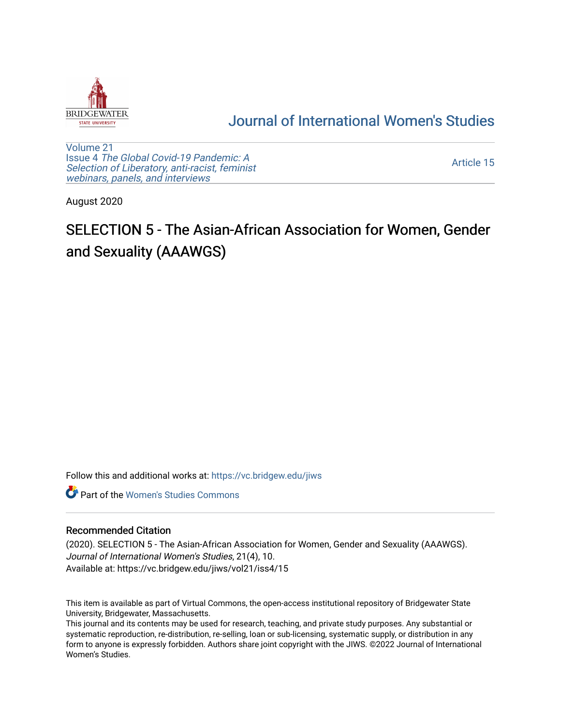

## [Journal of International Women's Studies](https://vc.bridgew.edu/jiws)

[Volume 21](https://vc.bridgew.edu/jiws/vol21) Issue 4 [The Global Covid-19 Pandemic: A](https://vc.bridgew.edu/jiws/vol21/iss4) [Selection of Liberatory, anti-racist, feminist](https://vc.bridgew.edu/jiws/vol21/iss4) [webinars, panels, and interviews](https://vc.bridgew.edu/jiws/vol21/iss4)

[Article 15](https://vc.bridgew.edu/jiws/vol21/iss4/15) 

August 2020

## SELECTION 5 - The Asian-African Association for Women, Gender and Sexuality (AAAWGS)

Follow this and additional works at: [https://vc.bridgew.edu/jiws](https://vc.bridgew.edu/jiws?utm_source=vc.bridgew.edu%2Fjiws%2Fvol21%2Fiss4%2F15&utm_medium=PDF&utm_campaign=PDFCoverPages)

**C** Part of the Women's Studies Commons

## Recommended Citation

(2020). SELECTION 5 - The Asian-African Association for Women, Gender and Sexuality (AAAWGS). Journal of International Women's Studies, 21(4), 10. Available at: https://vc.bridgew.edu/jiws/vol21/iss4/15

This item is available as part of Virtual Commons, the open-access institutional repository of Bridgewater State University, Bridgewater, Massachusetts.

This journal and its contents may be used for research, teaching, and private study purposes. Any substantial or systematic reproduction, re-distribution, re-selling, loan or sub-licensing, systematic supply, or distribution in any form to anyone is expressly forbidden. Authors share joint copyright with the JIWS. ©2022 Journal of International Women's Studies.